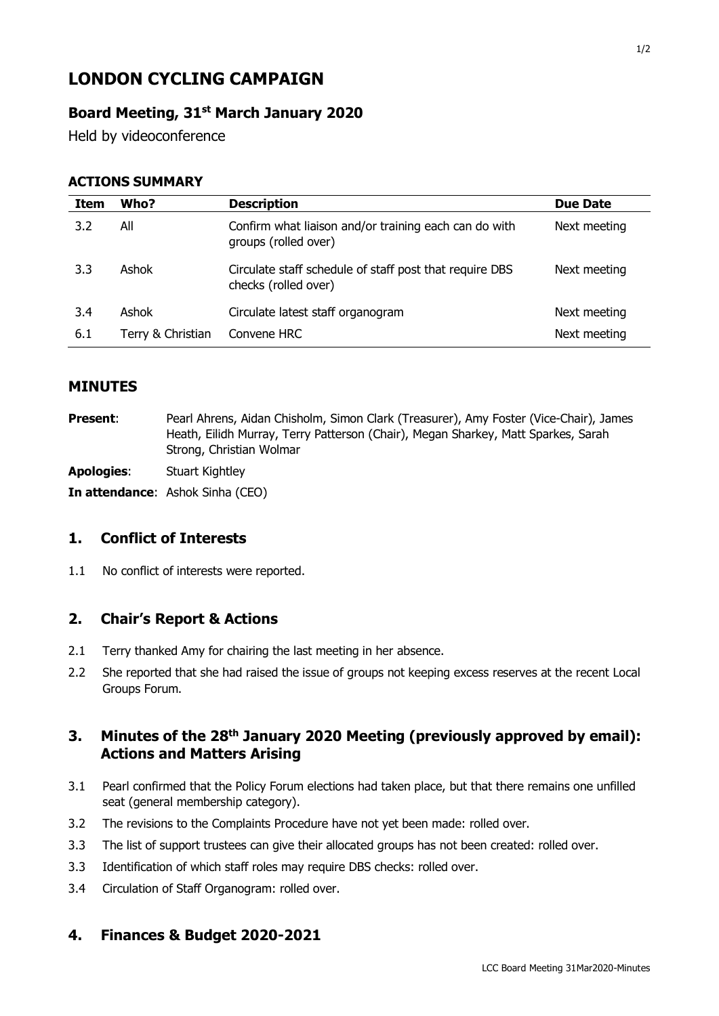# **LONDON CYCLING CAMPAIGN**

## **Board Meeting, 31st March January 2020**

Held by videoconference

#### **ACTIONS SUMMARY**

| Item | Who?              | <b>Description</b>                                                              | <b>Due Date</b> |
|------|-------------------|---------------------------------------------------------------------------------|-----------------|
| 3.2  | All               | Confirm what liaison and/or training each can do with<br>groups (rolled over)   | Next meeting    |
| 3.3  | Ashok             | Circulate staff schedule of staff post that require DBS<br>checks (rolled over) | Next meeting    |
| 3.4  | Ashok             | Circulate latest staff organogram                                               | Next meeting    |
| 6.1  | Terry & Christian | Convene HRC                                                                     | Next meeting    |

#### **MINUTES**

**Present**: Pearl Ahrens, Aidan Chisholm, Simon Clark (Treasurer), Amy Foster (Vice-Chair), James Heath, Eilidh Murray, Terry Patterson (Chair), Megan Sharkey, Matt Sparkes, Sarah Strong, Christian Wolmar

**Apologies**: Stuart Kightley

**In attendance**: Ashok Sinha (CEO)

#### **1. Conflict of Interests**

1.1 No conflict of interests were reported.

#### **2. Chair's Report & Actions**

- 2.1 Terry thanked Amy for chairing the last meeting in her absence.
- 2.2 She reported that she had raised the issue of groups not keeping excess reserves at the recent Local Groups Forum.

### **3. Minutes of the 28th January 2020 Meeting (previously approved by email): Actions and Matters Arising**

- 3.1 Pearl confirmed that the Policy Forum elections had taken place, but that there remains one unfilled seat (general membership category).
- 3.2 The revisions to the Complaints Procedure have not yet been made: rolled over.
- 3.3 The list of support trustees can give their allocated groups has not been created: rolled over.
- 3.3 Identification of which staff roles may require DBS checks: rolled over.
- 3.4 Circulation of Staff Organogram: rolled over.

#### **4. Finances & Budget 2020-2021**